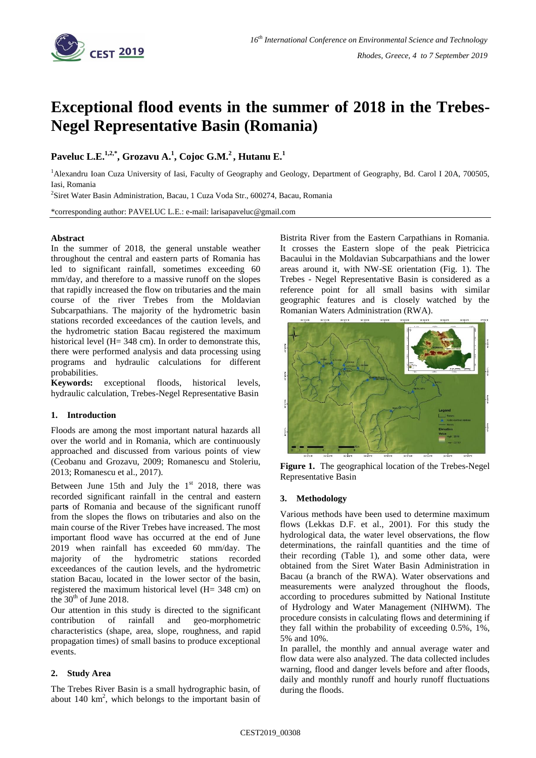

# **Exceptional flood events in the summer of 2018 in the Trebes-Negel Representative Basin (Romania)**

# **Paveluc L.E.1,2,\* , Grozavu A.<sup>1</sup> , Cojoc G.M.<sup>2</sup> , Hutanu E.<sup>1</sup>**

<sup>1</sup>Alexandru Ioan Cuza University of Iasi, Faculty of Geography and Geology, Department of Geography, Bd. Carol I 20A, 700505, Iasi, Romania

2 Siret Water Basin Administration, Bacau, 1 Cuza Voda Str., 600274, Bacau, Romania

\*corresponding author: PAVELUC L.E.: e-mail: larisapaveluc@gmail.com

#### **Abstract**

In the summer of 2018, the general unstable weather throughout the central and eastern parts of Romania has led to significant rainfall, sometimes exceeding 60 mm/day, and therefore to a massive runoff on the slopes that rapidly increased the flow on tributaries and the main course of the river Trebes from the Moldavian Subcarpathians. The majority of the hydrometric basin stations recorded exceedances of the caution levels, and the hydrometric station Bacau registered the maximum historical level (H= 348 cm). In order to demonstrate this, there were performed analysis and data processing using programs and hydraulic calculations for different probabilities.

**Keywords:** exceptional floods, historical levels, hydraulic calculation, Trebes-Negel Representative Basin

## **1. Introduction**

Floods are among the most important natural hazards all over the world and in Romania, which are continuously approached and discussed from various points of view (Ceobanu and Grozavu, 2009; Romanescu and Stoleriu, 2013; Romanescu et al., 2017).

Between June 15th and July the  $1<sup>st</sup>$  2018, there was recorded significant rainfall in the central and eastern part**s** of Romania and because of the significant runoff from the slopes the flows on tributaries and also on the main course of the River Trebes have increased. The most important flood wave has occurred at the end of June 2019 when rainfall has exceeded 60 mm/day. The majority of the hydrometric stations recorded exceedances of the caution levels, and the hydrometric station Bacau, located in the lower sector of the basin, registered the maximum historical level (H= 348 cm) on the  $30<sup>th</sup>$  of June 2018.

Our attention in this study is directed to the significant contribution of rainfall and geo-morphometric characteristics (shape, area, slope, roughness, and rapid propagation times) of small basins to produce exceptional events.

#### **2. Study Area**

The Trebes River Basin is a small hydrographic basin, of about  $140 \text{ km}^2$ , which belongs to the important basin of Bistrita River from the Eastern Carpathians in Romania. It crosses the Eastern slope of the peak Pietricica Bacaului in the Moldavian Subcarpathians and the lower areas around it, with NW-SE orientation (Fig. 1). The Trebes - Negel Representative Basin is considered as a reference point for all small basins with similar geographic features and is closely watched by the Romanian Waters Administration (RWA).



**Figure 1.** The geographical location of the Trebes-Negel Representative Basin

#### **3. Methodology**

Various methods have been used to determine maximum flows (Lekkas D.F. et al., 2001). For this study the hydrological data, the water level observations, the flow determinations, the rainfall quantities and the time of their recording (Table 1), and some other data, were obtained from the Siret Water Basin Administration in Bacau (a branch of the RWA). Water observations and measurements were analyzed throughout the floods, according to procedures submitted by National Institute of Hydrology and Water Management (NIHWM). The procedure consists in calculating flows and determining if they fall within the probability of exceeding 0.5%, 1%, 5% and 10%.

In parallel, the monthly and annual average water and flow data were also analyzed. The data collected includes warning, flood and danger levels before and after floods, daily and monthly runoff and hourly runoff fluctuations during the floods.